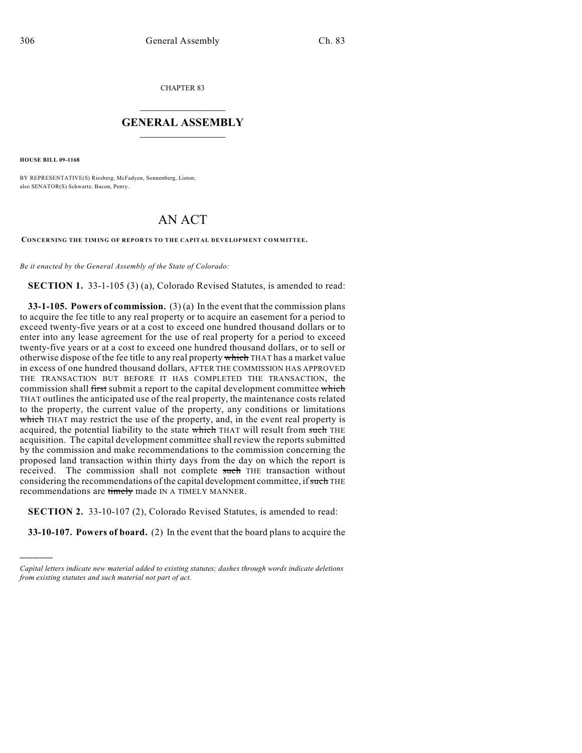CHAPTER 83

## $\overline{\phantom{a}}$  . The set of the set of the set of the set of the set of the set of the set of the set of the set of the set of the set of the set of the set of the set of the set of the set of the set of the set of the set o **GENERAL ASSEMBLY**  $\frac{1}{\sqrt{2}}$

**HOUSE BILL 09-1168**

)))))

BY REPRESENTATIVE(S) Riesberg, McFadyen, Sonnenberg, Liston; also SENATOR(S) Schwartz, Bacon, Penry.

## AN ACT

**CONCERNING THE TIMING OF REPORTS TO THE CAPITAL DEVELOPMENT COM MITTEE.**

*Be it enacted by the General Assembly of the State of Colorado:*

**SECTION 1.** 33-1-105 (3) (a), Colorado Revised Statutes, is amended to read:

**33-1-105. Powers of commission.** (3) (a) In the event that the commission plans to acquire the fee title to any real property or to acquire an easement for a period to exceed twenty-five years or at a cost to exceed one hundred thousand dollars or to enter into any lease agreement for the use of real property for a period to exceed twenty-five years or at a cost to exceed one hundred thousand dollars, or to sell or otherwise dispose of the fee title to any real property which THAT has a market value in excess of one hundred thousand dollars, AFTER THE COMMISSION HAS APPROVED THE TRANSACTION BUT BEFORE IT HAS COMPLETED THE TRANSACTION, the commission shall first submit a report to the capital development committee which THAT outlines the anticipated use of the real property, the maintenance costs related to the property, the current value of the property, any conditions or limitations which THAT may restrict the use of the property, and, in the event real property is acquired, the potential liability to the state which THAT will result from such THE acquisition. The capital development committee shall review the reports submitted by the commission and make recommendations to the commission concerning the proposed land transaction within thirty days from the day on which the report is received. The commission shall not complete such THE transaction without considering the recommendations of the capital development committee, if such THE recommendations are timely made IN A TIMELY MANNER.

**SECTION 2.** 33-10-107 (2), Colorado Revised Statutes, is amended to read:

**33-10-107. Powers of board.** (2) In the event that the board plans to acquire the

*Capital letters indicate new material added to existing statutes; dashes through words indicate deletions from existing statutes and such material not part of act.*